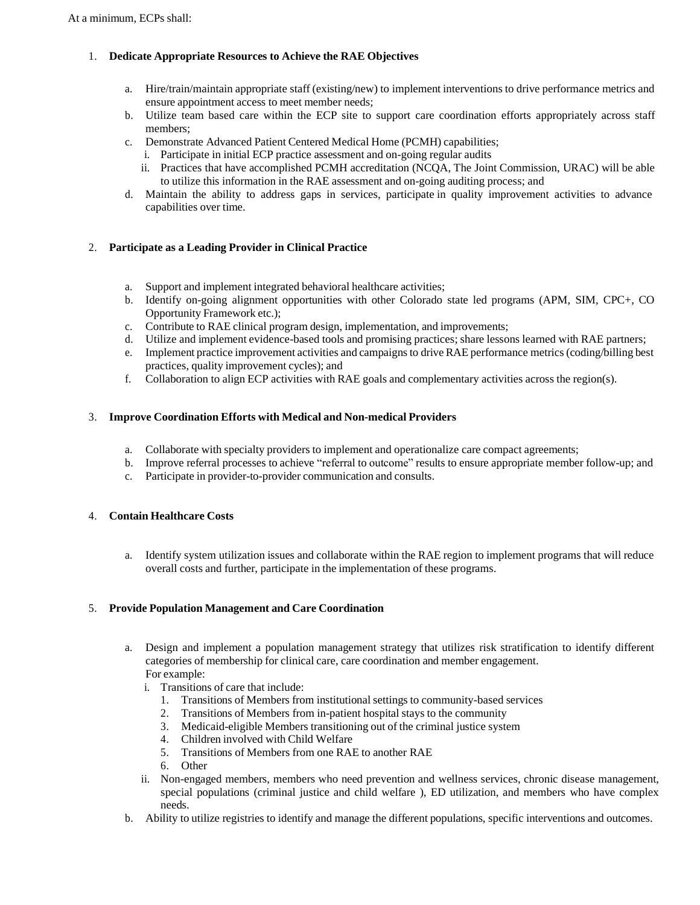# 1. **Dedicate Appropriate Resources to Achieve the RAE Objectives**

- a. Hire/train/maintain appropriate staff (existing/new) to implementinterventions to drive performance metrics and ensure appointment access to meet member needs;
- b. Utilize team based care within the ECP site to support care coordination efforts appropriately across staff members;
- c. Demonstrate Advanced Patient Centered Medical Home (PCMH) capabilities;
	- i. Participate in initial ECP practice assessment and on-going regular audits
	- ii. Practices that have accomplished PCMH accreditation (NCQA, The Joint Commission, URAC) will be able to utilize this information in the RAE assessment and on-going auditing process; and
- d. Maintain the ability to address gaps in services, participate in quality improvement activities to advance capabilities over time.

# 2. **Participate as a Leading Provider in Clinical Practice**

- a. Support and implement integrated behavioral healthcare activities;
- b. Identify on-going alignment opportunities with other Colorado state led programs (APM, SIM, CPC+, CO Opportunity Framework etc.);
- c. Contribute to RAE clinical program design, implementation, and improvements;
- d. Utilize and implement evidence-based tools and promising practices; share lessons learned with RAE partners;
- e. Implement practice improvement activities and campaignsto drive RAE performance metrics(coding/billing best practices, quality improvement cycles); and
- f. Collaboration to align ECP activities with RAE goals and complementary activities across the region(s).

## 3. **Improve Coordination Efforts with Medical and Non-medical Providers**

- a. Collaborate with specialty providers to implement and operationalize care compact agreements;
- b. Improve referral processes to achieve "referral to outcome" results to ensure appropriate member follow-up; and
- c. Participate in provider-to-provider communication and consults.

### 4. **Contain Healthcare Costs**

a. Identify system utilization issues and collaborate within the RAE region to implement programs that will reduce overall costs and further, participate in the implementation of these programs.

#### 5. **Provide Population Management and Care Coordination**

- a. Design and implement a population management strategy that utilizes risk stratification to identify different categories of membership for clinical care, care coordination and member engagement. For example:
	- i. Transitions of care that include:
		- 1. Transitions of Members from institutional settings to community-based services
		- 2. Transitions of Members from in-patient hospital stays to the community
		- 3. Medicaid-eligible Members transitioning out of the criminal justice system
		- 4. Children involved with Child Welfare
		- 5. Transitions of Members from one RAE to another RAE
		- 6. Other
	- ii. Non-engaged members, members who need prevention and wellness services, chronic disease management, special populations (criminal justice and child welfare ), ED utilization, and members who have complex needs.
- b. Ability to utilize registries to identify and manage the different populations, specific interventions and outcomes.